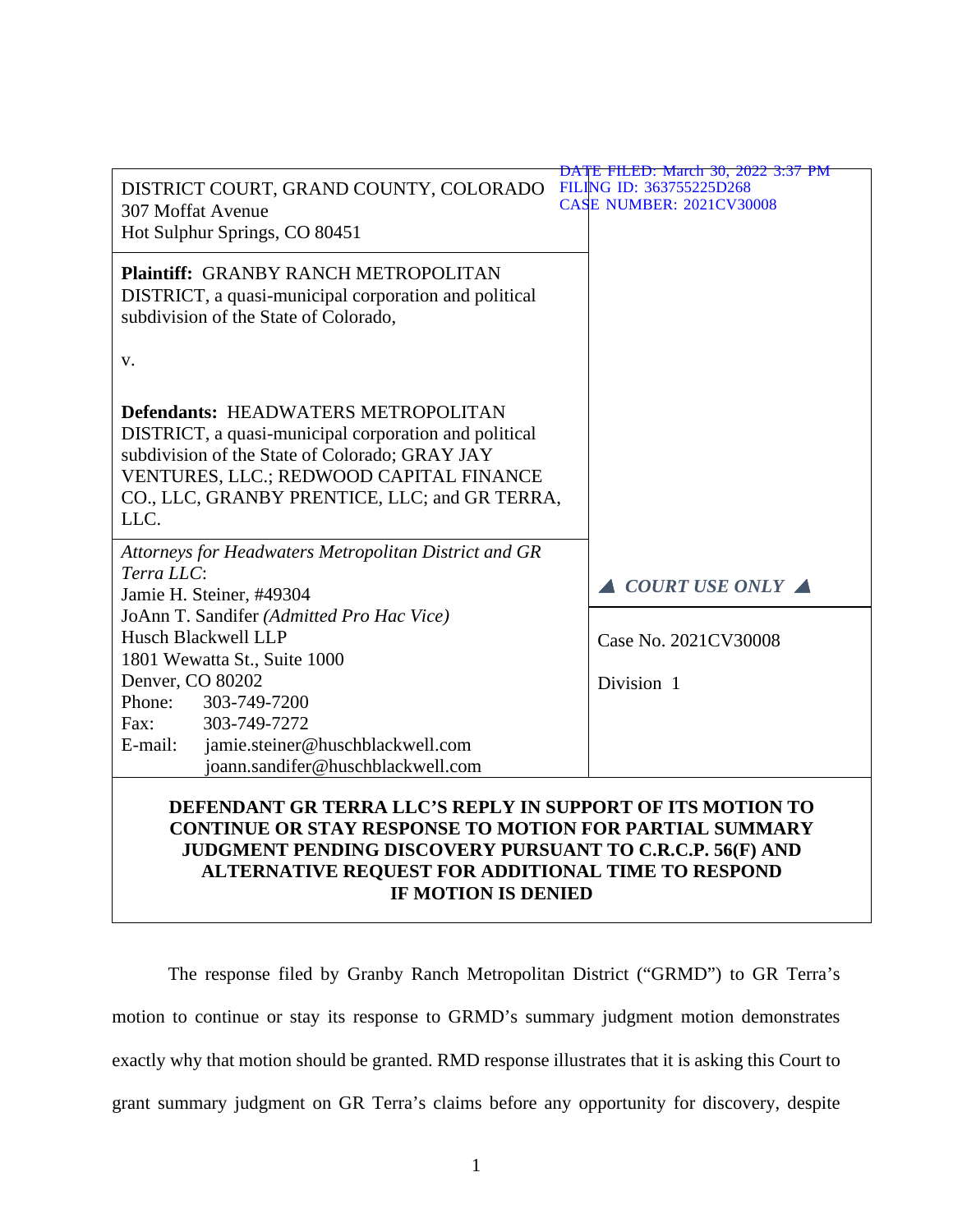|                                                                                                                                                                                                                                                           | DATE FILED: March 30, 2022 3:37 PM                          |
|-----------------------------------------------------------------------------------------------------------------------------------------------------------------------------------------------------------------------------------------------------------|-------------------------------------------------------------|
| DISTRICT COURT, GRAND COUNTY, COLORADO<br><b>307 Moffat Avenue</b><br>Hot Sulphur Springs, CO 80451                                                                                                                                                       | FILING ID: 363755225D268<br><b>CASE NUMBER: 2021CV30008</b> |
| Plaintiff: GRANBY RANCH METROPOLITAN<br>DISTRICT, a quasi-municipal corporation and political<br>subdivision of the State of Colorado,<br>V.                                                                                                              |                                                             |
| <b>Defendants: HEADWATERS METROPOLITAN</b><br>DISTRICT, a quasi-municipal corporation and political<br>subdivision of the State of Colorado; GRAY JAY<br>VENTURES, LLC.; REDWOOD CAPITAL FINANCE<br>CO., LLC, GRANBY PRENTICE, LLC; and GR TERRA,<br>LLC. |                                                             |
| Attorneys for Headwaters Metropolitan District and GR<br>Terra LLC:<br>Jamie H. Steiner, #49304                                                                                                                                                           | COURT USE ONLY A                                            |
| JoAnn T. Sandifer (Admitted Pro Hac Vice)<br>Husch Blackwell LLP<br>1801 Wewatta St., Suite 1000<br>Denver, CO 80202                                                                                                                                      | Case No. 2021CV30008<br>Division 1                          |
| Phone:<br>303-749-7200<br>303-749-7272<br>Fax:<br>E-mail:<br>jamie.steiner@huschblackwell.com<br>joann.sandifer@huschblackwell.com                                                                                                                        |                                                             |
| DEFENDANT GR TERRA LLC'S REPLY IN SUPPORT OF ITS MOTION TO<br><b>CONTINUE OR STAY RESPONSE TO MOTION FOR PARTIAL SUMMARY</b><br>JUDGMENT PENDING DISCOVERY PURSUANT TO C.R.C.P. 56(F) AND                                                                 |                                                             |

# **JUDGMENT PENDING DISCOVERY PURSUANT TO C.R.C.P. 56(F) AND ALTERNATIVE REQUEST FOR ADDITIONAL TIME TO RESPOND IF MOTION IS DENIED**

The response filed by Granby Ranch Metropolitan District ("GRMD") to GR Terra's motion to continue or stay its response to GRMD's summary judgment motion demonstrates exactly why that motion should be granted. RMD response illustrates that it is asking this Court to grant summary judgment on GR Terra's claims before any opportunity for discovery, despite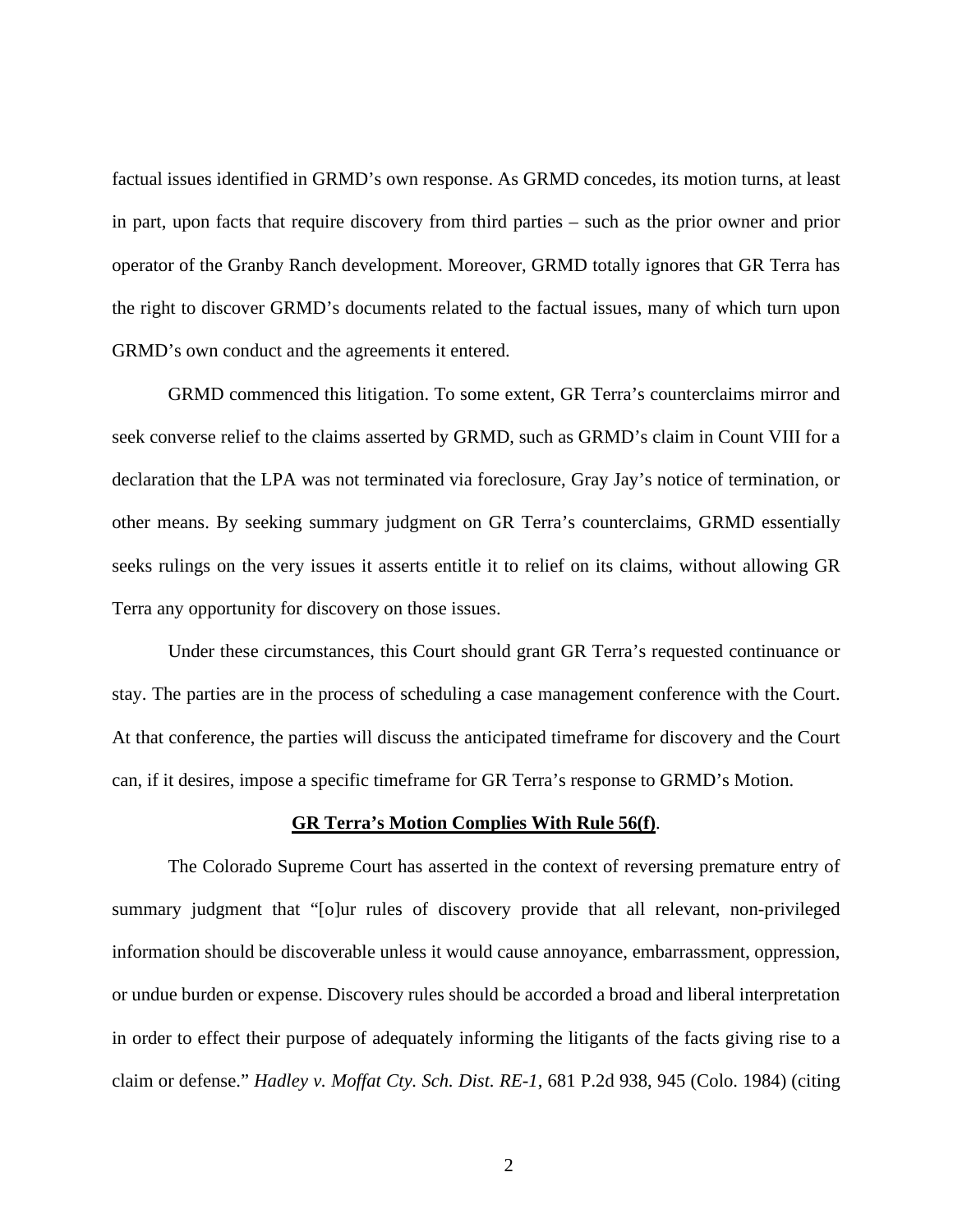factual issues identified in GRMD's own response. As GRMD concedes, its motion turns, at least in part, upon facts that require discovery from third parties – such as the prior owner and prior operator of the Granby Ranch development. Moreover, GRMD totally ignores that GR Terra has the right to discover GRMD's documents related to the factual issues, many of which turn upon GRMD's own conduct and the agreements it entered.

GRMD commenced this litigation. To some extent, GR Terra's counterclaims mirror and seek converse relief to the claims asserted by GRMD, such as GRMD's claim in Count VIII for a declaration that the LPA was not terminated via foreclosure, Gray Jay's notice of termination, or other means. By seeking summary judgment on GR Terra's counterclaims, GRMD essentially seeks rulings on the very issues it asserts entitle it to relief on its claims, without allowing GR Terra any opportunity for discovery on those issues.

Under these circumstances, this Court should grant GR Terra's requested continuance or stay. The parties are in the process of scheduling a case management conference with the Court. At that conference, the parties will discuss the anticipated timeframe for discovery and the Court can, if it desires, impose a specific timeframe for GR Terra's response to GRMD's Motion.

#### **GR Terra's Motion Complies With Rule 56(f)**.

The Colorado Supreme Court has asserted in the context of reversing premature entry of summary judgment that "[o]ur rules of discovery provide that all relevant, non-privileged information should be discoverable unless it would cause annoyance, embarrassment, oppression, or undue burden or expense. Discovery rules should be accorded a broad and liberal interpretation in order to effect their purpose of adequately informing the litigants of the facts giving rise to a claim or defense." *Hadley v. Moffat Cty. Sch. Dist. RE-1*, 681 P.2d 938, 945 (Colo. 1984) (citing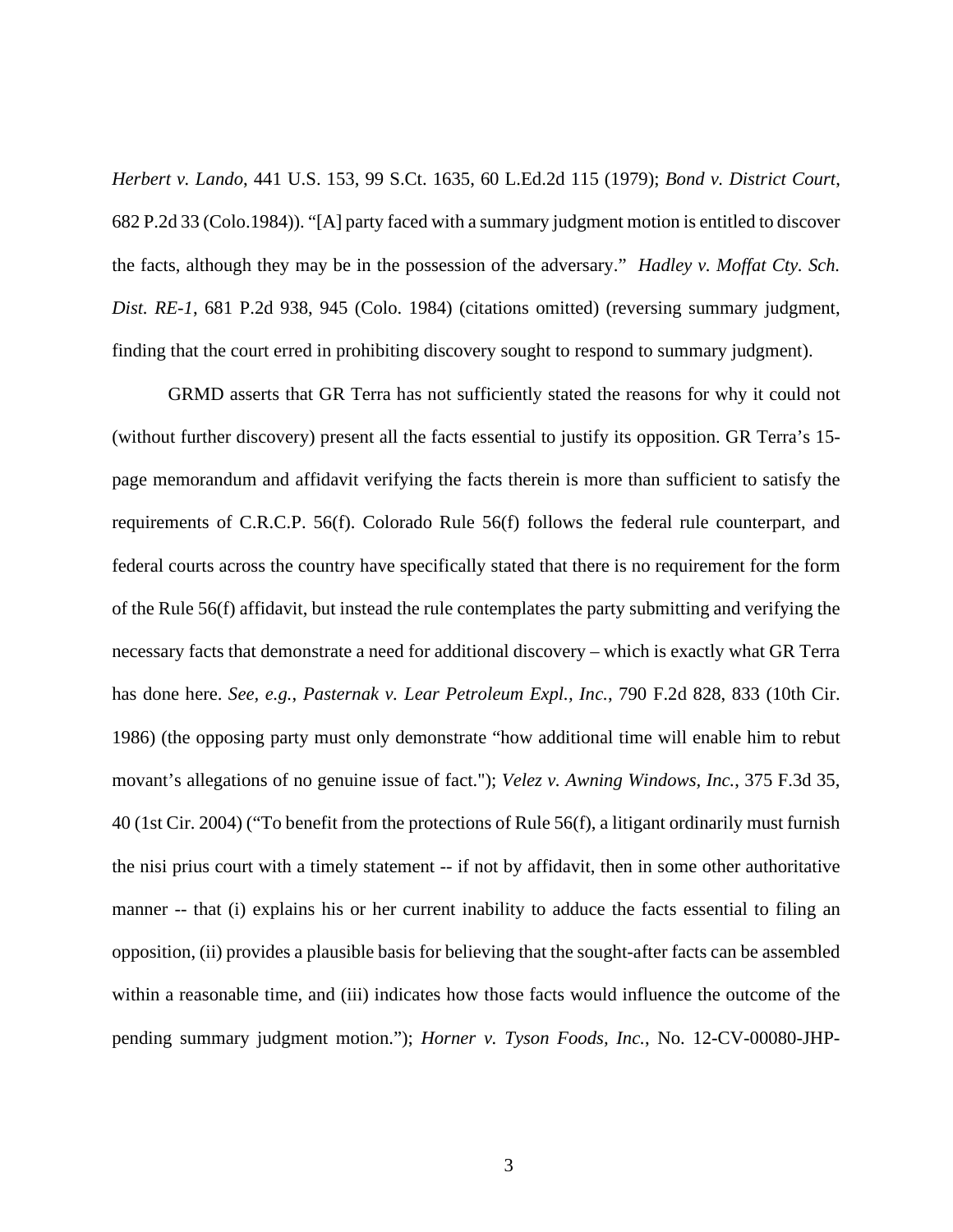*Herbert v. Lando*, 441 U.S. 153, 99 S.Ct. 1635, 60 L.Ed.2d 115 (1979); *Bond v. District Court*, 682 P.2d 33 (Colo.1984)). "[A] party faced with a summary judgment motion is entitled to discover the facts, although they may be in the possession of the adversary." *Hadley v. Moffat Cty. Sch. Dist. RE-1*, 681 P.2d 938, 945 (Colo. 1984) (citations omitted) (reversing summary judgment, finding that the court erred in prohibiting discovery sought to respond to summary judgment).

GRMD asserts that GR Terra has not sufficiently stated the reasons for why it could not (without further discovery) present all the facts essential to justify its opposition. GR Terra's 15 page memorandum and affidavit verifying the facts therein is more than sufficient to satisfy the requirements of C.R.C.P. 56(f). Colorado Rule 56(f) follows the federal rule counterpart, and federal courts across the country have specifically stated that there is no requirement for the form of the Rule 56(f) affidavit, but instead the rule contemplates the party submitting and verifying the necessary facts that demonstrate a need for additional discovery – which is exactly what GR Terra has done here. *See, e.g.*, *Pasternak v. Lear Petroleum Expl., Inc.*, 790 F.2d 828, 833 (10th Cir. 1986) (the opposing party must only demonstrate "how additional time will enable him to rebut movant's allegations of no genuine issue of fact."); *Velez v. Awning Windows, Inc.*, 375 F.3d 35, 40 (1st Cir. 2004) ("To benefit from the protections of Rule 56(f), a litigant ordinarily must furnish the nisi prius court with a timely statement -- if not by affidavit, then in some other authoritative manner -- that (i) explains his or her current inability to adduce the facts essential to filing an opposition, (ii) provides a plausible basis for believing that the sought-after facts can be assembled within a reasonable time, and (iii) indicates how those facts would influence the outcome of the pending summary judgment motion."); *Horner v. Tyson Foods, Inc.*, No. 12-CV-00080-JHP-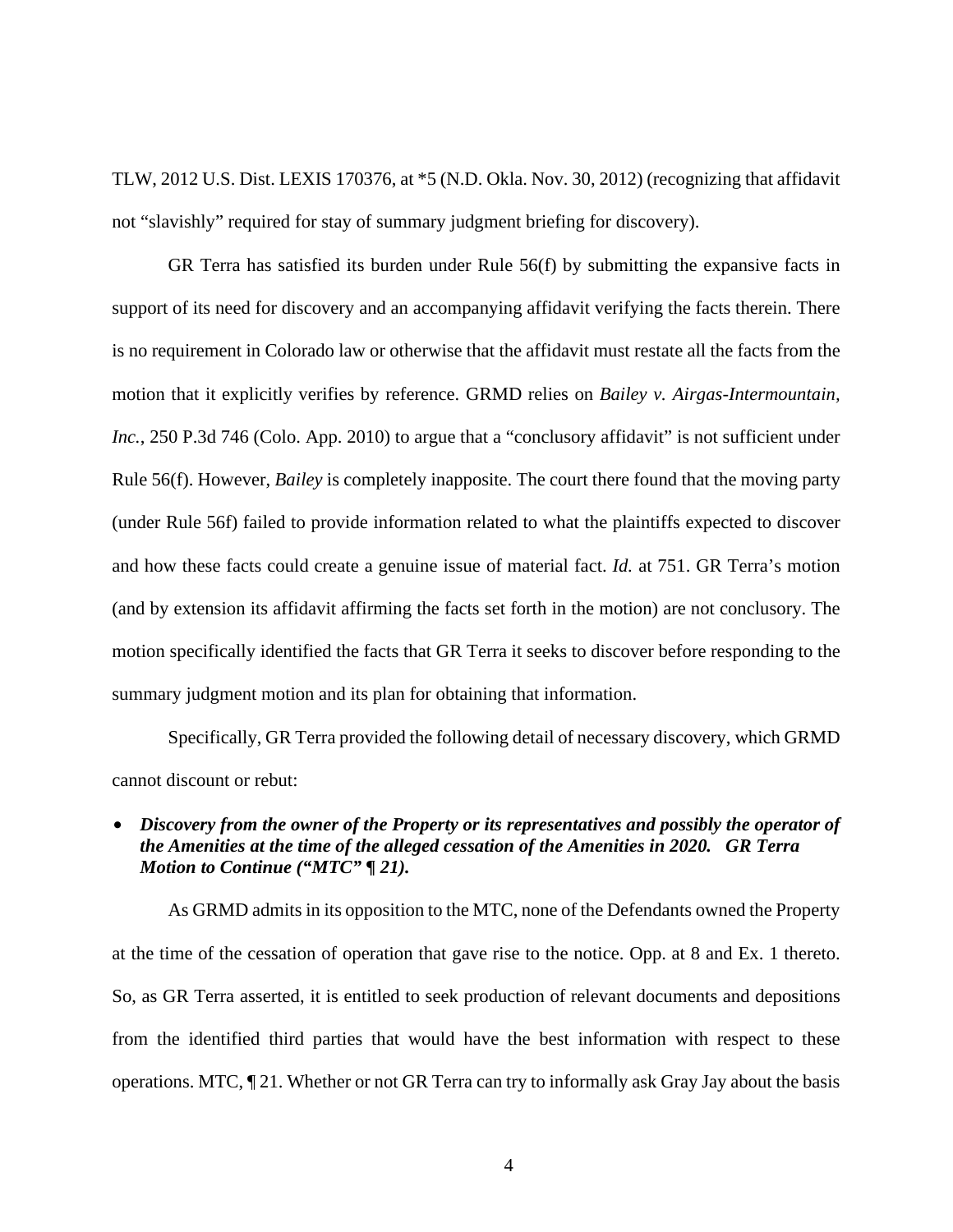TLW, 2012 U.S. Dist. LEXIS 170376, at \*5 (N.D. Okla. Nov. 30, 2012) (recognizing that affidavit not "slavishly" required for stay of summary judgment briefing for discovery).

GR Terra has satisfied its burden under Rule 56(f) by submitting the expansive facts in support of its need for discovery and an accompanying affidavit verifying the facts therein. There is no requirement in Colorado law or otherwise that the affidavit must restate all the facts from the motion that it explicitly verifies by reference. GRMD relies on *Bailey v. Airgas-Intermountain, Inc.*, 250 P.3d 746 (Colo. App. 2010) to argue that a "conclusory affidavit" is not sufficient under Rule 56(f). However, *Bailey* is completely inapposite. The court there found that the moving party (under Rule 56f) failed to provide information related to what the plaintiffs expected to discover and how these facts could create a genuine issue of material fact. *Id.* at 751. GR Terra's motion (and by extension its affidavit affirming the facts set forth in the motion) are not conclusory. The motion specifically identified the facts that GR Terra it seeks to discover before responding to the summary judgment motion and its plan for obtaining that information.

Specifically, GR Terra provided the following detail of necessary discovery, which GRMD cannot discount or rebut:

# • *Discovery from the owner of the Property or its representatives and possibly the operator of the Amenities at the time of the alleged cessation of the Amenities in 2020. GR Terra Motion to Continue ("MTC" ¶ 21).*

As GRMD admits in its opposition to the MTC, none of the Defendants owned the Property at the time of the cessation of operation that gave rise to the notice. Opp. at 8 and Ex. 1 thereto. So, as GR Terra asserted, it is entitled to seek production of relevant documents and depositions from the identified third parties that would have the best information with respect to these operations. MTC, ¶ 21. Whether or not GR Terra can try to informally ask Gray Jay about the basis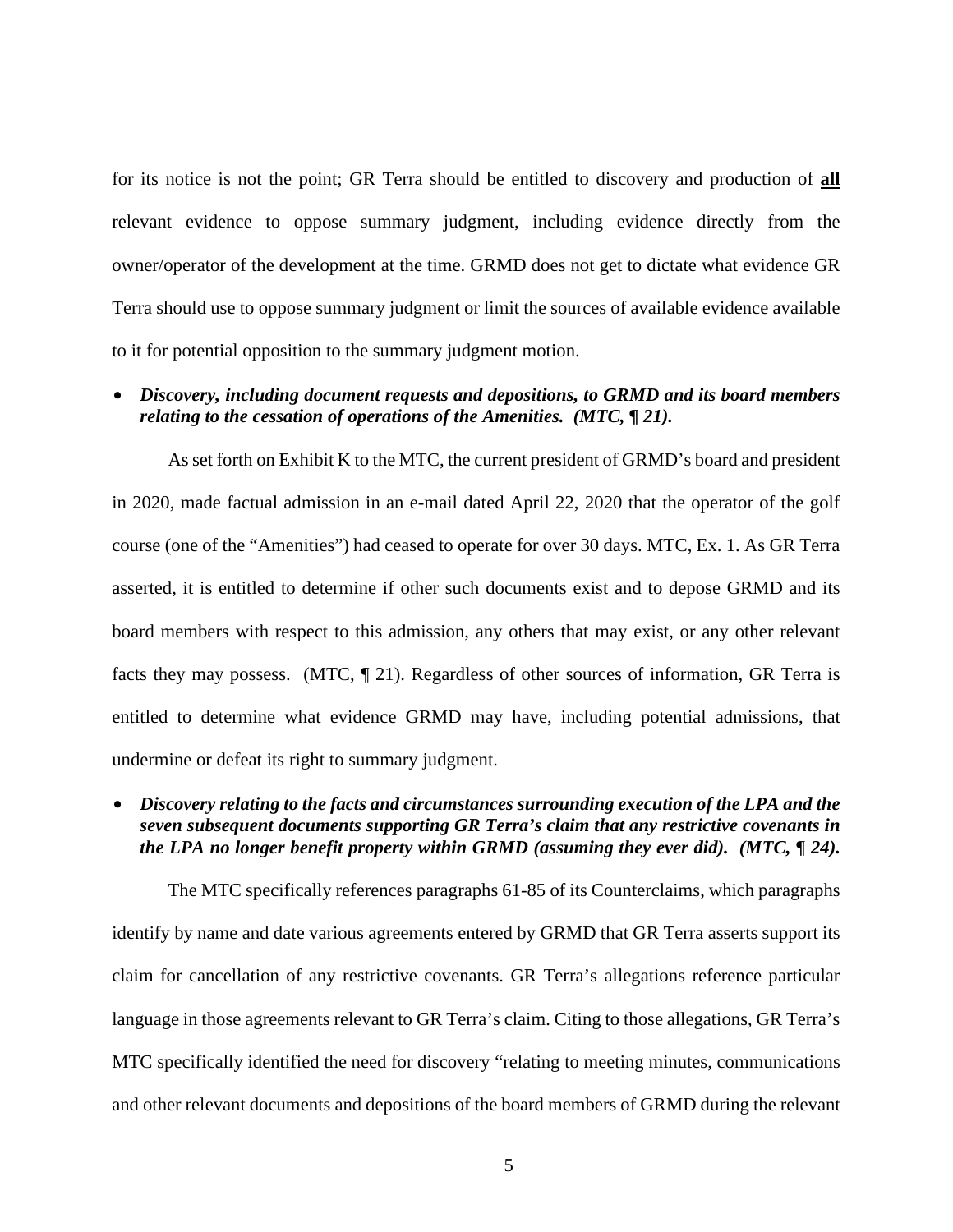for its notice is not the point; GR Terra should be entitled to discovery and production of **all** relevant evidence to oppose summary judgment, including evidence directly from the owner/operator of the development at the time. GRMD does not get to dictate what evidence GR Terra should use to oppose summary judgment or limit the sources of available evidence available to it for potential opposition to the summary judgment motion.

### • *Discovery, including document requests and depositions, to GRMD and its board members relating to the cessation of operations of the Amenities. (MTC, ¶ 21).*

As set forth on Exhibit K to the MTC, the current president of GRMD's board and president in 2020, made factual admission in an e-mail dated April 22, 2020 that the operator of the golf course (one of the "Amenities") had ceased to operate for over 30 days. MTC, Ex. 1. As GR Terra asserted, it is entitled to determine if other such documents exist and to depose GRMD and its board members with respect to this admission, any others that may exist, or any other relevant facts they may possess. (MTC, ¶ 21). Regardless of other sources of information, GR Terra is entitled to determine what evidence GRMD may have, including potential admissions, that undermine or defeat its right to summary judgment.

# • *Discovery relating to the facts and circumstances surrounding execution of the LPA and the seven subsequent documents supporting GR Terra's claim that any restrictive covenants in the LPA no longer benefit property within GRMD (assuming they ever did). (MTC, ¶ 24).*

The MTC specifically references paragraphs 61-85 of its Counterclaims, which paragraphs identify by name and date various agreements entered by GRMD that GR Terra asserts support its claim for cancellation of any restrictive covenants. GR Terra's allegations reference particular language in those agreements relevant to GR Terra's claim. Citing to those allegations, GR Terra's MTC specifically identified the need for discovery "relating to meeting minutes, communications and other relevant documents and depositions of the board members of GRMD during the relevant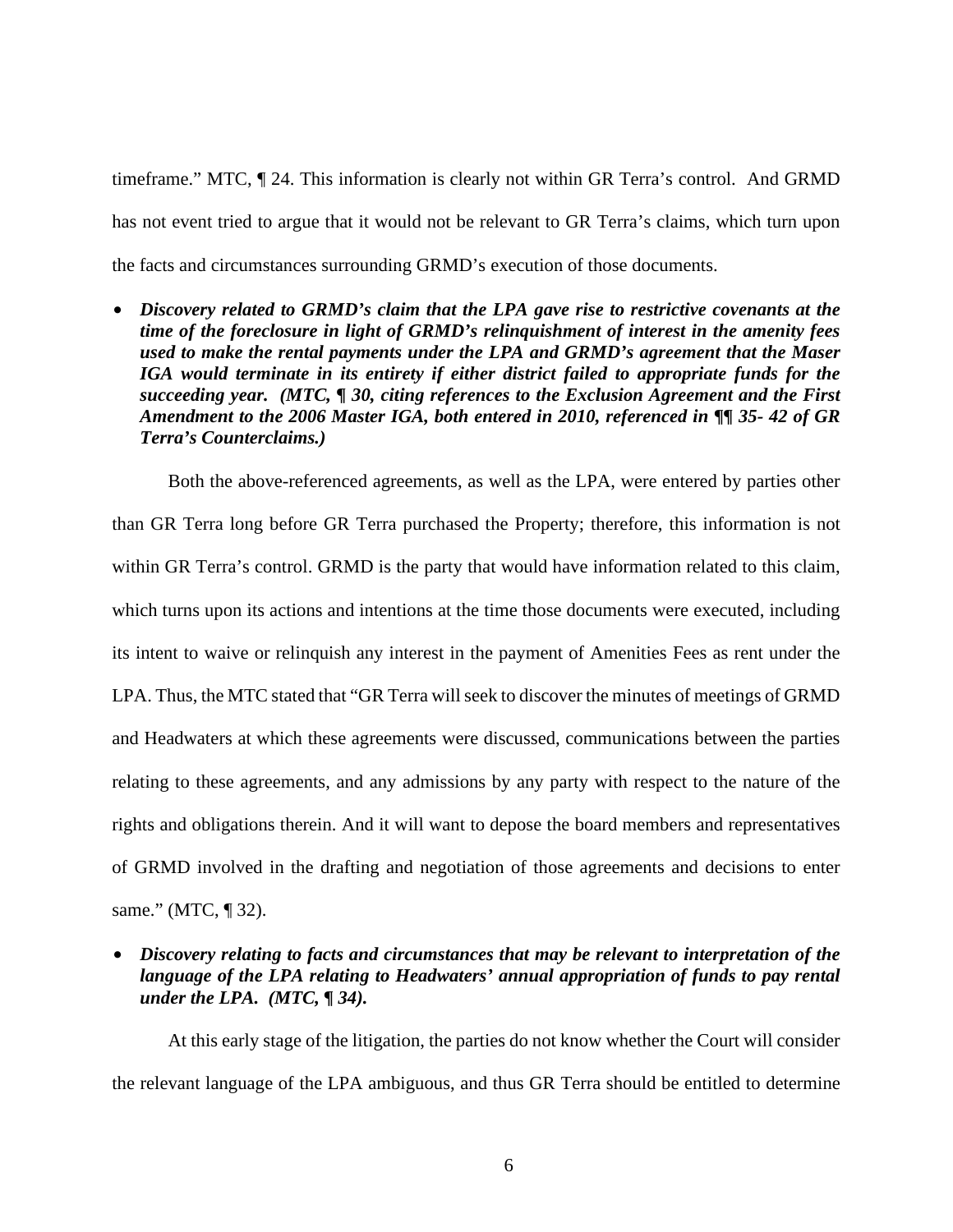timeframe." MTC, ¶ 24. This information is clearly not within GR Terra's control. And GRMD has not event tried to argue that it would not be relevant to GR Terra's claims, which turn upon the facts and circumstances surrounding GRMD's execution of those documents.

• *Discovery related to GRMD's claim that the LPA gave rise to restrictive covenants at the time of the foreclosure in light of GRMD's relinquishment of interest in the amenity fees used to make the rental payments under the LPA and GRMD's agreement that the Maser IGA would terminate in its entirety if either district failed to appropriate funds for the succeeding year. (MTC, ¶ 30, citing references to the Exclusion Agreement and the First Amendment to the 2006 Master IGA, both entered in 2010, referenced in ¶¶ 35- 42 of GR Terra's Counterclaims.)* 

Both the above-referenced agreements, as well as the LPA, were entered by parties other than GR Terra long before GR Terra purchased the Property; therefore, this information is not within GR Terra's control. GRMD is the party that would have information related to this claim, which turns upon its actions and intentions at the time those documents were executed, including its intent to waive or relinquish any interest in the payment of Amenities Fees as rent under the LPA. Thus, the MTC stated that "GR Terra will seek to discover the minutes of meetings of GRMD and Headwaters at which these agreements were discussed, communications between the parties relating to these agreements, and any admissions by any party with respect to the nature of the rights and obligations therein. And it will want to depose the board members and representatives of GRMD involved in the drafting and negotiation of those agreements and decisions to enter same." (MTC, ¶ 32).

• *Discovery relating to facts and circumstances that may be relevant to interpretation of the language of the LPA relating to Headwaters' annual appropriation of funds to pay rental under the LPA. (MTC, ¶ 34).* 

At this early stage of the litigation, the parties do not know whether the Court will consider the relevant language of the LPA ambiguous, and thus GR Terra should be entitled to determine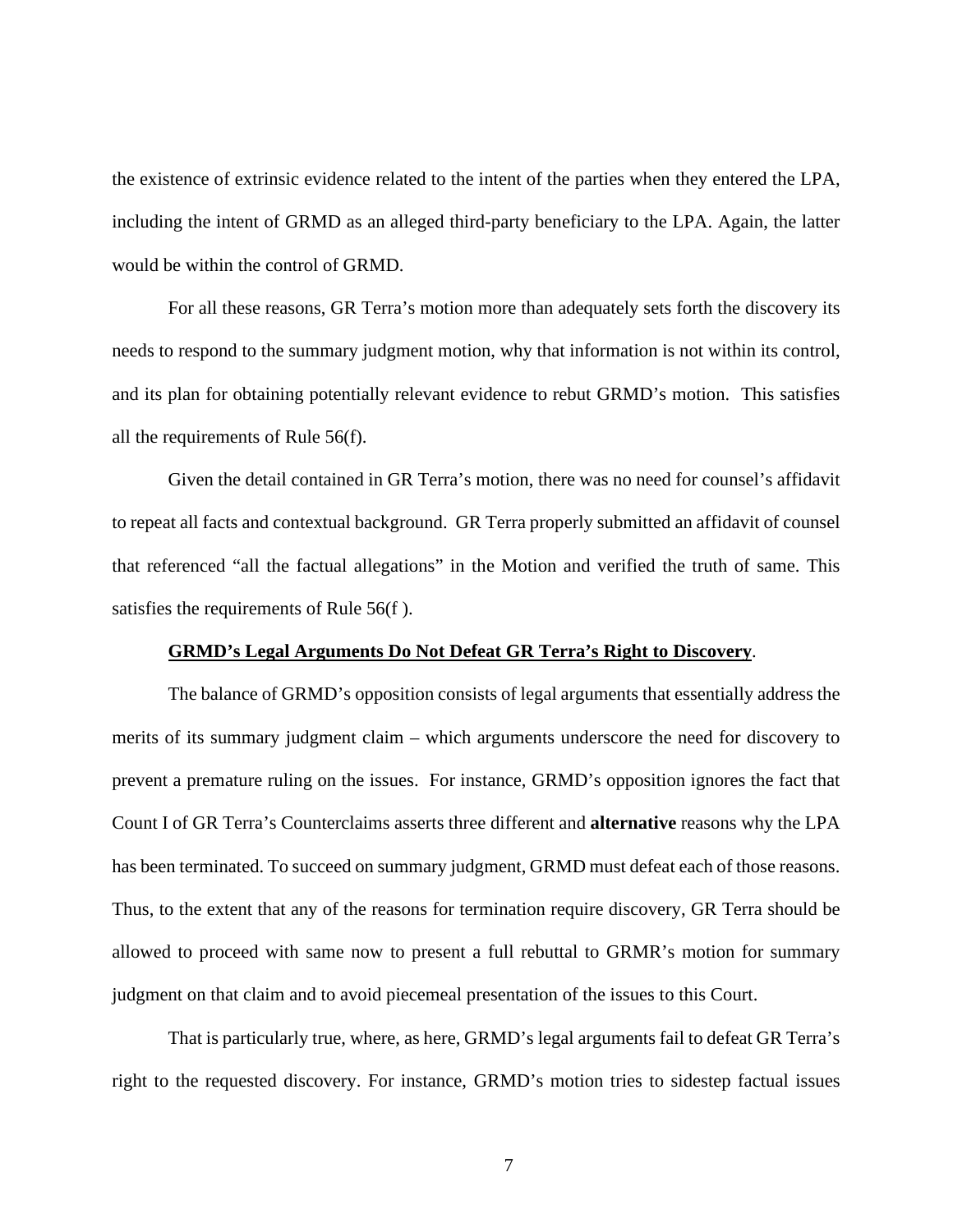the existence of extrinsic evidence related to the intent of the parties when they entered the LPA, including the intent of GRMD as an alleged third-party beneficiary to the LPA. Again, the latter would be within the control of GRMD.

For all these reasons, GR Terra's motion more than adequately sets forth the discovery its needs to respond to the summary judgment motion, why that information is not within its control, and its plan for obtaining potentially relevant evidence to rebut GRMD's motion. This satisfies all the requirements of Rule 56(f).

Given the detail contained in GR Terra's motion, there was no need for counsel's affidavit to repeat all facts and contextual background. GR Terra properly submitted an affidavit of counsel that referenced "all the factual allegations" in the Motion and verified the truth of same. This satisfies the requirements of Rule 56(f ).

#### **GRMD's Legal Arguments Do Not Defeat GR Terra's Right to Discovery**.

The balance of GRMD's opposition consists of legal arguments that essentially address the merits of its summary judgment claim – which arguments underscore the need for discovery to prevent a premature ruling on the issues. For instance, GRMD's opposition ignores the fact that Count I of GR Terra's Counterclaims asserts three different and **alternative** reasons why the LPA has been terminated. To succeed on summary judgment, GRMD must defeat each of those reasons. Thus, to the extent that any of the reasons for termination require discovery, GR Terra should be allowed to proceed with same now to present a full rebuttal to GRMR's motion for summary judgment on that claim and to avoid piecemeal presentation of the issues to this Court.

That is particularly true, where, as here, GRMD's legal arguments fail to defeat GR Terra's right to the requested discovery. For instance, GRMD's motion tries to sidestep factual issues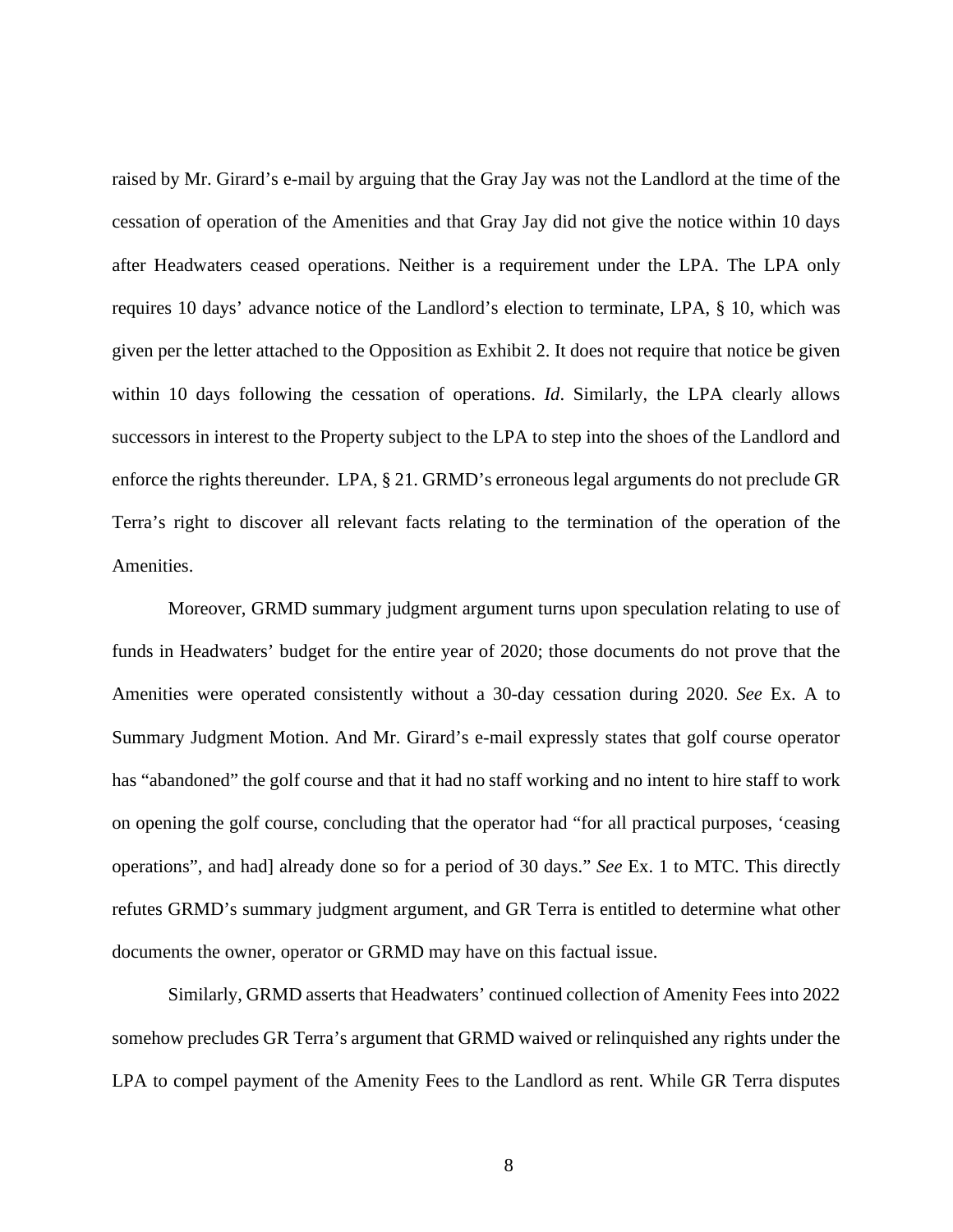raised by Mr. Girard's e-mail by arguing that the Gray Jay was not the Landlord at the time of the cessation of operation of the Amenities and that Gray Jay did not give the notice within 10 days after Headwaters ceased operations. Neither is a requirement under the LPA. The LPA only requires 10 days' advance notice of the Landlord's election to terminate, LPA, § 10, which was given per the letter attached to the Opposition as Exhibit 2. It does not require that notice be given within 10 days following the cessation of operations. *Id*. Similarly, the LPA clearly allows successors in interest to the Property subject to the LPA to step into the shoes of the Landlord and enforce the rights thereunder. LPA, § 21. GRMD's erroneous legal arguments do not preclude GR Terra's right to discover all relevant facts relating to the termination of the operation of the Amenities.

Moreover, GRMD summary judgment argument turns upon speculation relating to use of funds in Headwaters' budget for the entire year of 2020; those documents do not prove that the Amenities were operated consistently without a 30-day cessation during 2020. *See* Ex. A to Summary Judgment Motion. And Mr. Girard's e-mail expressly states that golf course operator has "abandoned" the golf course and that it had no staff working and no intent to hire staff to work on opening the golf course, concluding that the operator had "for all practical purposes, 'ceasing operations", and had] already done so for a period of 30 days." *See* Ex. 1 to MTC. This directly refutes GRMD's summary judgment argument, and GR Terra is entitled to determine what other documents the owner, operator or GRMD may have on this factual issue.

Similarly, GRMD asserts that Headwaters' continued collection of Amenity Fees into 2022 somehow precludes GR Terra's argument that GRMD waived or relinquished any rights under the LPA to compel payment of the Amenity Fees to the Landlord as rent. While GR Terra disputes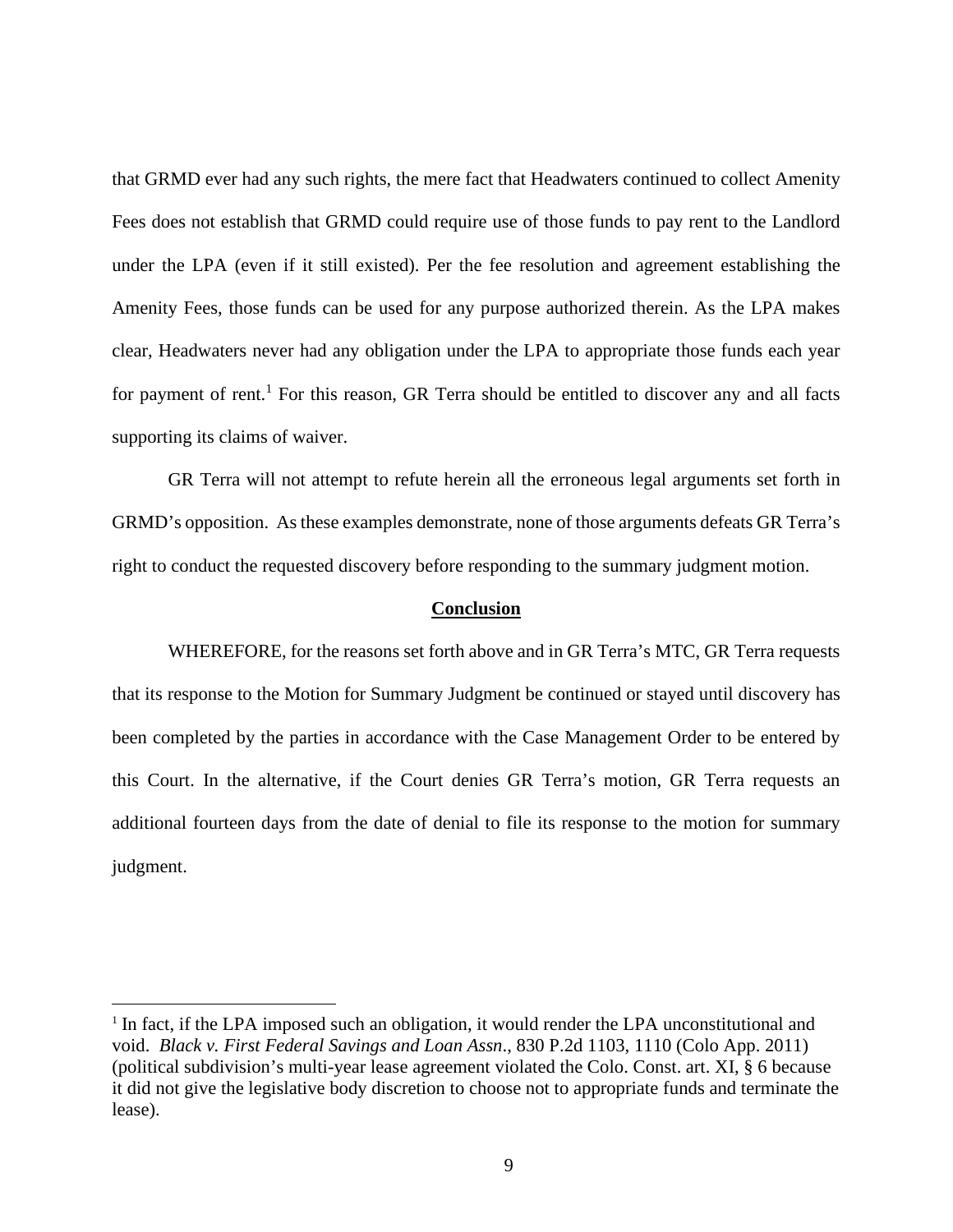that GRMD ever had any such rights, the mere fact that Headwaters continued to collect Amenity Fees does not establish that GRMD could require use of those funds to pay rent to the Landlord under the LPA (even if it still existed). Per the fee resolution and agreement establishing the Amenity Fees, those funds can be used for any purpose authorized therein. As the LPA makes clear, Headwaters never had any obligation under the LPA to appropriate those funds each year for payment of rent.<sup>1</sup> For this reason, GR Terra should be entitled to discover any and all facts supporting its claims of waiver.

GR Terra will not attempt to refute herein all the erroneous legal arguments set forth in GRMD's opposition. As these examples demonstrate, none of those arguments defeats GR Terra's right to conduct the requested discovery before responding to the summary judgment motion.

#### **Conclusion**

WHEREFORE, for the reasons set forth above and in GR Terra's MTC, GR Terra requests that its response to the Motion for Summary Judgment be continued or stayed until discovery has been completed by the parties in accordance with the Case Management Order to be entered by this Court. In the alternative, if the Court denies GR Terra's motion, GR Terra requests an additional fourteen days from the date of denial to file its response to the motion for summary judgment.

<sup>&</sup>lt;sup>1</sup> In fact, if the LPA imposed such an obligation, it would render the LPA unconstitutional and void. *Black v. First Federal Savings and Loan Assn*., 830 P.2d 1103, 1110 (Colo App. 2011) (political subdivision's multi-year lease agreement violated the Colo. Const. art. XI, § 6 because it did not give the legislative body discretion to choose not to appropriate funds and terminate the lease).